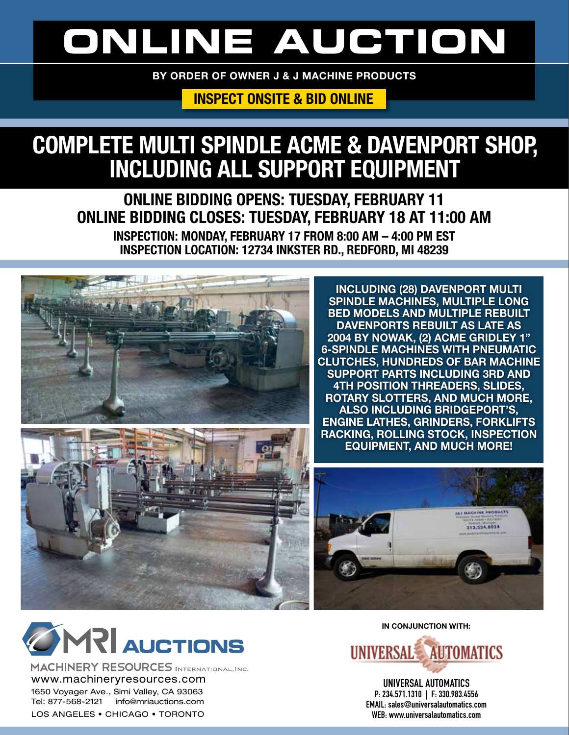# **ONLINE AUCTION**

BY ORDER OF OWNER J & J MACHINE PRODUCTS

### INSPECT ONSITE & BID ONLINE

## COMPLETE MULTI SPINDLE ACME & DAVENPORT SHOP, INCLUDING ALL SUPPORT EQUIPMENT

ONLINE BIDDING OPENS: TUESDAY, FEBRUARY 11 ONLINE BIDDING CLOSES: TUESDAY, FEBRUARY 18 AT 11:00 AM INSPECTION: MONDAY, FEBRUARY 17 FROM 8:00 AM – 4:00 PM EST INSPECTION LOCATION: 12734 INKSTER RD., REDFORD, MI 48239



**INCLUDING (28) DAVENPORT MULTI SPINDLE MACHINES, MULTIPLE LONG BED MODELS AND MULTIPLE REBUILT DAVENPORTS REBUILT AS LATE AS 2004 BY NOWAK, (2) ACME GRIDLEY 1" 6-SPINDLE MACHINES WITH PNEUMATIC CLUTCHES, HUNDREDS OF BAR MACHINE SUPPORT PARTS INCLUDING 3RD AND 4TH POSITION THREADERS, SLIDES, ROTARY SLOTTERS, AND MUCH MORE, ALSO INCLUDING BRIDGEPORT'S, ENGINE LATHES, GRINDERS, FORKLIFTS RACKING, ROLLING STOCK, INSPECTION EQUIPMENT, AND MUCH MORE!**





MACHINERY RESOURCES INTERNATIONAL, INC. www.machineryresources.com 1650 Voyager Ave., Simi Valley, CA 93063 Tel: 877-568-2121 info@mriauctions.com LOS ANGELES • CHICAGO • TORONTO

**IN CONJUNCTION WITH:**



**UNIVERSAL AUTOMATICS P: 234.571.1310 | F: 330.983.4556 EMAIL: sales@universalautomatics.com WEB: www.universalautomatics.com**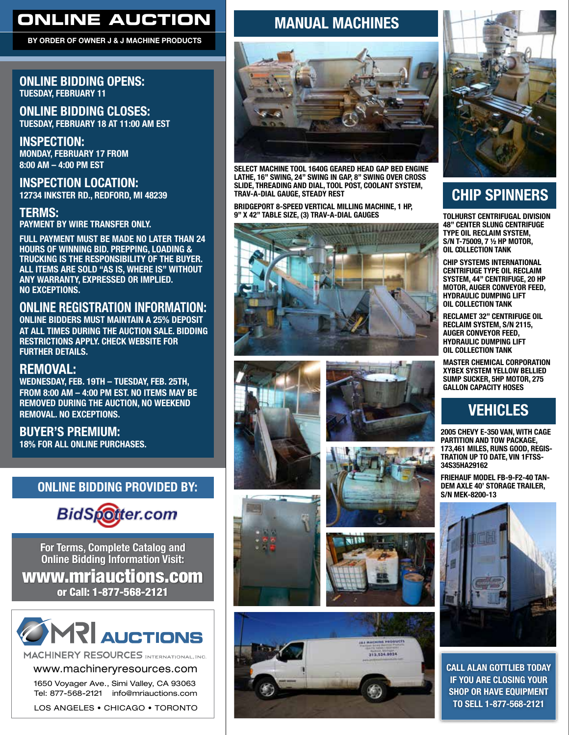### **ONLINE AUCTION**

BY ORDER OF OWNER J & J MACHINE PRODUCTS

#### ONLINE BIDDING OPENS: TUESDAY, FEBRUARY 11

ONLINE BIDDING CLOSES: TUESDAY, FEBRUARY 18 AT 11:00 AM EST

INSPECTION: MONDAY, FEBRUARY 17 FROM 8:00 AM – 4:00 PM EST

INSPECTION LOCATION: 12734 INKSTER RD., REDFORD, MI 48239

#### TERMS:

PAYMENT BY WIRE TRANSFER ONLY.

FULL PAYMENT MUST BE MADE NO LATER THAN 24 HOURS OF WINNING BID. PREPPING, LOADING & TRUCKING IS THE RESPONSIBILITY OF THE BUYER. ALL ITEMS ARE SOLD "AS IS, WHERE IS" WITHOUT ANY WARRANTY, EXPRESSED OR IMPLIED. NO EXCEPTIONS.

#### ONLINE REGISTRATION INFORMATION:

ONLINE BIDDERS MUST MAINTAIN A 25% DEPOSIT AT ALL TIMES DURING THE AUCTION SALE. BIDDING RESTRICTIONS APPLY. CHECK WEBSITE FOR FURTHER DETAILS.

#### REMOVAL:

WEDNESDAY, FEB. 19TH – TUESDAY, FEB. 25TH, FROM 8:00 AM – 4:00 PM EST. NO ITEMS MAY BE REMOVED DURING THE AUCTION, NO WEEKEND REMOVAL. NO EXCEPTIONS.

BUYER'S PREMIUM: 18% FOR ALL ONLINE PURCHASES.

#### ONLINE BIDDING PROVIDED BY:



**For Terms, Complete Catalog and Online Bidding Information Visit:** www.mriauctions.com or Call: 1-877-568-2121



MACHINERY RESOURCES INTERNATIONAL, INC.

www.machineryresources.com

1650 Voyager Ave., Simi Valley, CA 93063 Tel: 877-568-2121 info@mriauctions.com

LOS ANGELES • CHICAGO • TORONTO

### MANUAL MACHINES



**SELECT MACHINE TOOL 1640G GEARED HEAD GAP BED ENGINE LATHE, 16" SWING, 24" SWING IN GAP, 8" SWING OVER CROSS SLIDE, THREADING AND DIAL, TOOL POST, COOLANT SYSTEM, TRAV-A-DIAL GAUGE, STEADY REST**

**BRIDGEPORT 8-SPEED VERTICAL MILLING MACHINE, 1 HP, 9" X 42" TABLE SIZE, (3) TRAV-A-DIAL GAUGES**















### CHIP SPINNERS

**TOLHURST CENTRIFUGAL DIVISION 48" CENTER SLUNG CENTRIFUGE TYPE OIL RECLAIM SYSTEM, S/N T-75009, 7 ½ HP MOTOR, OIL COLLECTION TANK**

**CHIP SYSTEMS INTERNATIONAL CENTRIFUGE TYPE OIL RECLAIM SYSTEM, 44" CENTRIFUGE, 20 HP MOTOR, AUGER CONVEYOR FEED, HYDRAULIC DUMPING LIFT OIL COLLECTION TANK**

**RECLAMET 32" CENTRIFUGE OIL RECLAIM SYSTEM, S/N 2115, AUGER CONVEYOR FEED, HYDRAULIC DUMPING LIFT OIL COLLECTION TANK**

**MASTER CHEMICAL CORPORATION XYBEX SYSTEM YELLOW BELLIED SUMP SUCKER, 5HP MOTOR, 275 GALLON CAPACITY HOSES**

### VEHICLES

**2005 CHEVY E-350 VAN, WITH CAGE PARTITION AND TOW PACKAGE, 173,461 MILES, RUNS GOOD, REGIS-TRATION UP TO DATE, VIN 1FTSS-34S35HA29162**

**FRIEHAUF MODEL FB-9-F2-40 TAN-DEM AXLE 40' STORAGE TRAILER, S/N MEK-8200-13**



CALL ALAN GOTTLIEB TODAY IF YOU ARE CLOSING YOUR SHOP OR HAVE EQUIPMENT TO SELL 1-877-568-2121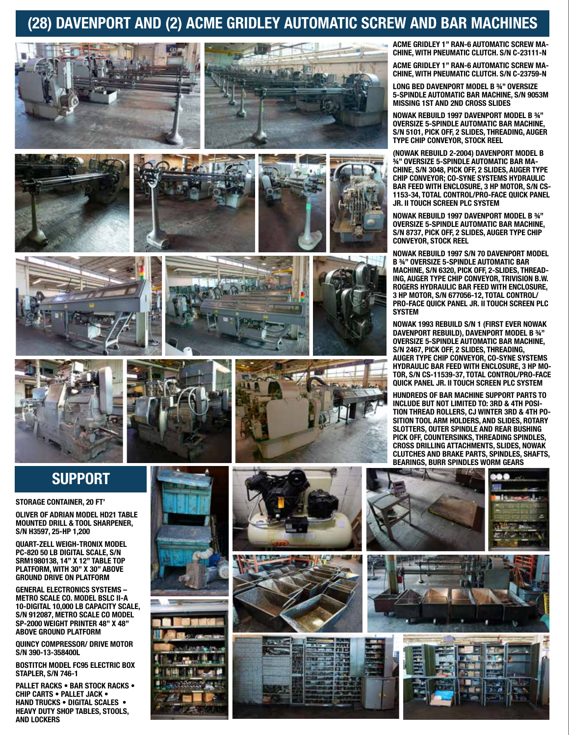### (28) DAVENPORT AND (2) ACME GRIDLEY AUTOMATIC SCREW AND BAR MACHINES























**ACME GRIDLEY 1" RAN-6 AUTOMATIC SCREW MA-CHINE, WITH PNEUMATIC CLUTCH. S/N C-23111-N**

**ACME GRIDLEY 1" RAN-6 AUTOMATIC SCREW MA-CHINE, WITH PNEUMATIC CLUTCH. S/N C-23759-N**

**LONG BED DAVENPORT MODEL B ¾" OVERSIZE 5-SPINDLE AUTOMATIC BAR MACHINE, S/N 9053M MISSING 1ST AND 2ND CROSS SLIDES**

**NOWAK REBUILD 1997 DAVENPORT MODEL B ¾" OVERSIZE 5-SPINDLE AUTOMATIC BAR MACHINE, S/N 5101, PICK OFF, 2 SLIDES, THREADING, AUGER TYPE CHIP CONVEYOR, STOCK REEL**

**(NOWAK REBUILD 2-2004) DAVENPORT MODEL B ¾" OVERSIZE 5-SPINDLE AUTOMATIC BAR MA-CHINE, S/N 3048, PICK OFF, 2 SLIDES, AUGER TYPE CHIP CONVEYOR; CO-SYNE SYSTEMS HYDRAULIC BAR FEED WITH ENCLOSURE, 3 HP MOTOR, S/N CS-1153-34, TOTAL CONTROL/PRO-FACE QUICK PANEL JR. II TOUCH SCREEN PLC SYSTEM**

**NOWAK REBUILD 1997 DAVENPORT MODEL B ¾" OVERSIZE 5-SPINDLE AUTOMATIC BAR MACHINE, S/N 8737, PICK OFF, 2 SLIDES, AUGER TYPE CHIP CONVEYOR, STOCK REEL**

**NOWAK REBUILD 1997 S/N 70 DAVENPORT MODEL B ¾" OVERSIZE 5-SPINDLE AUTOMATIC BAR MACHINE, S/N 6320, PICK OFF, 2-SLIDES, THREAD-ING, AUGER TYPE CHIP CONVEYOR, TRIVISION B.W. ROGERS HYDRAULIC BAR FEED WITH ENCLOSURE, 3 HP MOTOR, S/N 677056-12, TOTAL CONTROL/ PRO-FACE QUICK PANEL JR. II TOUCH SCREEN PLC SYSTEM**

**NOWAK 1993 REBUILD S/N 1 (FIRST EVER NOWAK DAVENPORT REBUILD), DAVENPORT MODEL B ¾" OVERSIZE 5-SPINDLE AUTOMATIC BAR MACHINE, S/N 2467, PICK OFF, 2 SLIDES, THREADING, AUGER TYPE CHIP CONVEYOR, CO-SYNE SYSTEMS HYDRAULIC BAR FEED WITH ENCLOSURE, 3 HP MO-TOR, S/N CS-11539-37, TOTAL CONTROL/PRO-FACE QUICK PANEL JR. II TOUCH SCREEN PLC SYSTEM**

**HUNDREDS OF BAR MACHINE SUPPORT PARTS TO INCLUDE BUT NOT LIMITED TO: 3RD & 4TH POSI-TION THREAD ROLLERS, CJ WINTER 3RD & 4TH PO-SITION TOOL ARM HOLDERS, AND SLIDES, ROTARY SLOTTERS, OUTER SPINDLE AND REAR BUSHING PICK OFF, COUNTERSINKS, THREADING SPINDLES, CROSS DRILLING ATTACHMENTS, SLIDES, NOWAK CLUTCHES AND BRAKE PARTS, SPINDLES, SHAFTS, BEARINGS, BURR SPINDLES WORM GEARS**

### **SUPPORT**

**STORAGE CONTAINER, 20 FT'**

**OLIVER OF ADRIAN MODEL HD21 TABLE MOUNTED DRILL & TOOL SHARPENER, S/N H3597, 25-HP 1,200**

**QUART-ZELL WEIGH-TRONIX MODEL PC-820 50 LB DIGITAL SCALE, S/N SRM1980138, 14" X 12" TABLE TOP PLATFORM, WITH 30" X 30" ABOVE GROUND DRIVE ON PLATFORM**

**GENERAL ELECTRONICS SYSTEMS – METRO SCALE CO. MODEL BSLC II-A 10-DIGITAL 10,000 LB CAPACITY SCALE, S/N 912087, METRO SCALE CO MODEL SP-2000 WEIGHT PRINTER 48" X 48" ABOVE GROUND PLATFORM**

**QUINCY COMPRESSOR/ DRIVE MOTOR S/N 390-13-358400L**

**BOSTITCH MODEL FC95 ELECTRIC BOX STAPLER, S/N 746-1**

**PALLET RACKS • BAR STOCK RACKS • CHIP CARTS • PALLET JACK • HAND TRUCKS • DIGITAL SCALES • HEAVY DUTY SHOP TABLES, STOOLS, AND LOCKERS**